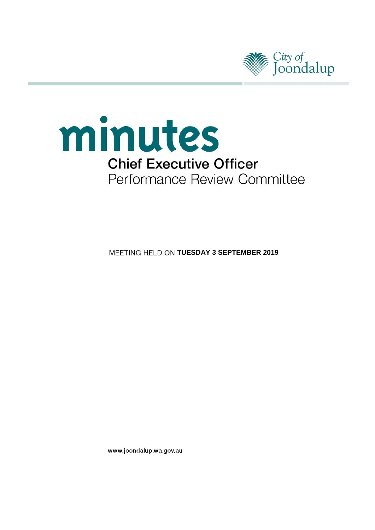



**MEETING HELD ON TUESDAY 3 SEPTEMBER 2019** 

www.joondalup.wa.gov.au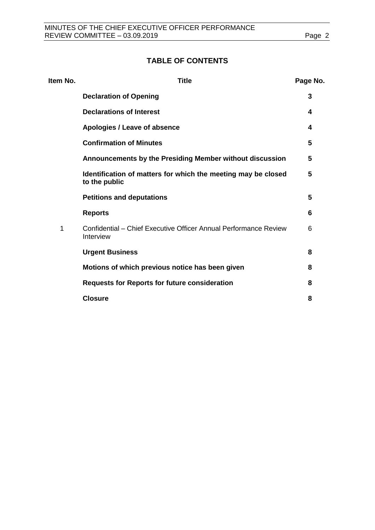## **TABLE OF CONTENTS**

| Item No. | <b>Title</b>                                                                   | Page No. |
|----------|--------------------------------------------------------------------------------|----------|
|          | <b>Declaration of Opening</b>                                                  | 3        |
|          | <b>Declarations of Interest</b>                                                | 4        |
|          | Apologies / Leave of absence                                                   | 4        |
|          | <b>Confirmation of Minutes</b>                                                 | 5        |
|          | Announcements by the Presiding Member without discussion                       | 5        |
|          | Identification of matters for which the meeting may be closed<br>to the public | 5        |
|          | <b>Petitions and deputations</b>                                               | 5        |
|          | <b>Reports</b>                                                                 | 6        |
| 1        | Confidential – Chief Executive Officer Annual Performance Review<br>Interview  | 6        |
|          | <b>Urgent Business</b>                                                         | 8        |
|          | Motions of which previous notice has been given                                | 8        |
|          | <b>Requests for Reports for future consideration</b>                           | 8        |
|          | <b>Closure</b>                                                                 | 8        |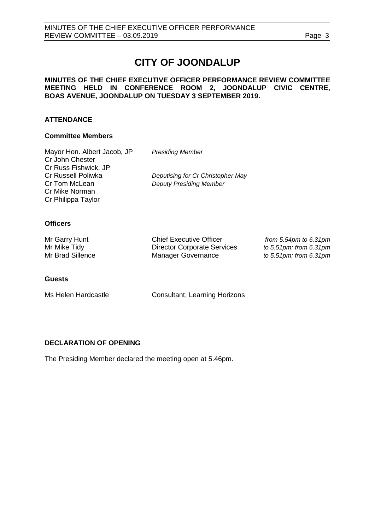# **CITY OF JOONDALUP**

### **MINUTES OF THE CHIEF EXECUTIVE OFFICER PERFORMANCE REVIEW COMMITTEE MEETING HELD IN CONFERENCE ROOM 2, JOONDALUP CIVIC CENTRE, BOAS AVENUE, JOONDALUP ON TUESDAY 3 SEPTEMBER 2019.**

### **ATTENDANCE**

### **Committee Members**

| Mayor Hon. Albert Jacob, JP | <b>Presiding Member</b>           |
|-----------------------------|-----------------------------------|
| Cr John Chester             |                                   |
| Cr Russ Fishwick, JP        |                                   |
| Cr Russell Poliwka          | Deputising for Cr Christopher May |
| Cr Tom McLean               | <b>Deputy Presiding Member</b>    |
| Cr Mike Norman              |                                   |
| Cr Philippa Taylor          |                                   |
|                             |                                   |

### **Officers**

| Mr Garry Hunt    | <b>Chief Executive Officer</b>     |
|------------------|------------------------------------|
| Mr Mike Tidy     | <b>Director Corporate Services</b> |
| Mr Brad Sillence | Manager Governance                 |

from 5.54pm to 6.31pm *to 5.51pm; from 6.31pm* to 5.51pm; from 6.31pm

### **Guests**

Ms Helen Hardcastle **Consultant, Learning Horizons** 

### <span id="page-2-0"></span>**DECLARATION OF OPENING**

The Presiding Member declared the meeting open at 5.46pm.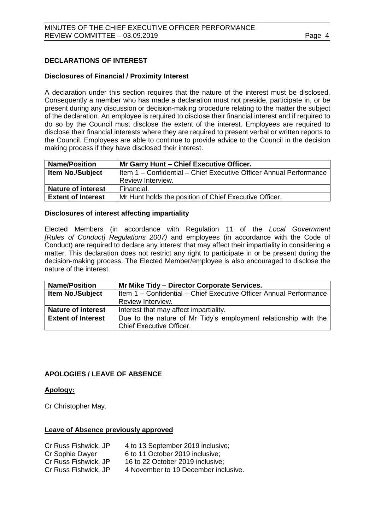### <span id="page-3-0"></span>**DECLARATIONS OF INTEREST**

### **Disclosures of Financial / Proximity Interest**

A declaration under this section requires that the nature of the interest must be disclosed. Consequently a member who has made a declaration must not preside, participate in, or be present during any discussion or decision-making procedure relating to the matter the subject of the declaration. An employee is required to disclose their financial interest and if required to do so by the Council must disclose the extent of the interest. Employees are required to disclose their financial interests where they are required to present verbal or written reports to the Council. Employees are able to continue to provide advice to the Council in the decision making process if they have disclosed their interest.

| <b>Name/Position</b>      | Mr Garry Hunt - Chief Executive Officer.                           |
|---------------------------|--------------------------------------------------------------------|
| <b>Item No./Subject</b>   | Item 1 - Confidential - Chief Executive Officer Annual Performance |
|                           | Review Interview.                                                  |
| <b>Nature of interest</b> | Financial.                                                         |
| <b>Extent of Interest</b> | Mr Hunt holds the position of Chief Executive Officer.             |

### **Disclosures of interest affecting impartiality**

Elected Members (in accordance with Regulation 11 of the *Local Government [Rules of Conduct] Regulations 2007)* and employees (in accordance with the Code of Conduct) are required to declare any interest that may affect their impartiality in considering a matter. This declaration does not restrict any right to participate in or be present during the decision-making process. The Elected Member/employee is also encouraged to disclose the nature of the interest.

| <b>Name/Position</b>      | Mr Mike Tidy – Director Corporate Services.                        |  |
|---------------------------|--------------------------------------------------------------------|--|
| Item No./Subject          | Item 1 - Confidential - Chief Executive Officer Annual Performance |  |
|                           | Review Interview.                                                  |  |
| <b>Nature of interest</b> | Interest that may affect impartiality.                             |  |
| <b>Extent of Interest</b> | Due to the nature of Mr Tidy's employment relationship with the    |  |
|                           | <b>Chief Executive Officer.</b>                                    |  |

### <span id="page-3-1"></span>**APOLOGIES / LEAVE OF ABSENCE**

### **Apology:**

Cr Christopher May.

### **Leave of Absence previously approved**

<span id="page-3-2"></span>

| Cr Russ Fishwick, JP | 4 to 13 September 2019 inclusive;    |
|----------------------|--------------------------------------|
| Cr Sophie Dwyer      | 6 to 11 October 2019 inclusive;      |
| Cr Russ Fishwick, JP | 16 to 22 October 2019 inclusive:     |
| Cr Russ Fishwick, JP | 4 November to 19 December inclusive. |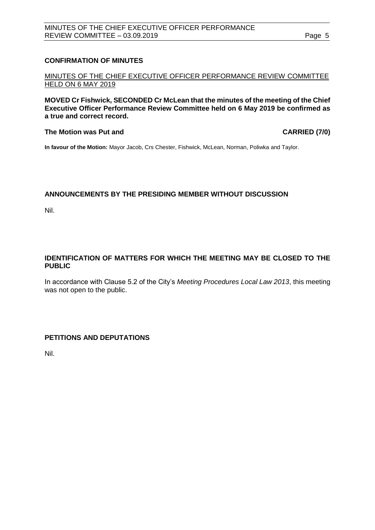### **CONFIRMATION OF MINUTES**

MINUTES OF THE CHIEF EXECUTIVE OFFICER PERFORMANCE REVIEW COMMITTEE HELD ON 6 MAY 2019

**MOVED Cr Fishwick, SECONDED Cr McLean that the minutes of the meeting of the Chief Executive Officer Performance Review Committee held on 6 May 2019 be confirmed as a true and correct record.**

### **The Motion was Put and CARRIED (7/0)**

**In favour of the Motion:** Mayor Jacob, Crs Chester, Fishwick, McLean, Norman, Poliwka and Taylor.

### **ANNOUNCEMENTS BY THE PRESIDING MEMBER WITHOUT DISCUSSION**

Nil.

### <span id="page-4-0"></span>**IDENTIFICATION OF MATTERS FOR WHICH THE MEETING MAY BE CLOSED TO THE PUBLIC**

In accordance with Clause 5.2 of the City's *Meeting Procedures Local Law 2013*, this meeting was not open to the public.

### <span id="page-4-1"></span>**PETITIONS AND DEPUTATIONS**

Nil.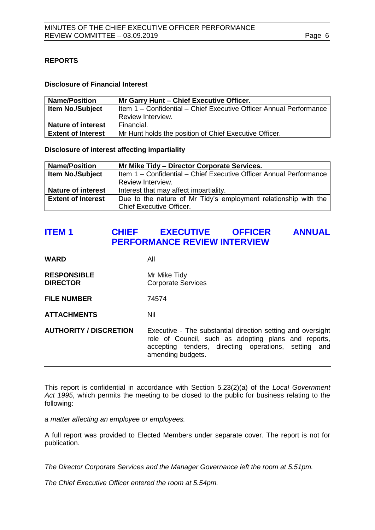### <span id="page-5-0"></span>**REPORTS**

### **Disclosure of Financial Interest**

| <b>Name/Position</b>      | Mr Garry Hunt - Chief Executive Officer.                           |
|---------------------------|--------------------------------------------------------------------|
| <b>Item No./Subject</b>   | Item 1 - Confidential - Chief Executive Officer Annual Performance |
|                           | Review Interview.                                                  |
| <b>Nature of interest</b> | Financial.                                                         |
| <b>Extent of Interest</b> | Mr Hunt holds the position of Chief Executive Officer.             |

**Disclosure of interest affecting impartiality**

| <b>Name/Position</b>      | Mr Mike Tidy - Director Corporate Services.                        |  |
|---------------------------|--------------------------------------------------------------------|--|
| <b>Item No./Subject</b>   | Item 1 - Confidential - Chief Executive Officer Annual Performance |  |
|                           | Review Interview.                                                  |  |
| <b>Nature of interest</b> | Interest that may affect impartiality.                             |  |
| <b>Extent of Interest</b> | Due to the nature of Mr Tidy's employment relationship with the    |  |
|                           | <b>Chief Executive Officer.</b>                                    |  |

# <span id="page-5-1"></span>**ITEM 1 CHIEF EXECUTIVE OFFICER ANNUAL PERFORMANCE REVIEW INTERVIEW**

**WARD** All

- **RESPONSIBLE** Mr Mike Tidy **DIRECTOR** Corporate Services
- **FILE NUMBER** 74574

**ATTACHMENTS** Nil

**AUTHORITY / DISCRETION** Executive - The substantial direction setting and oversight role of Council, such as adopting plans and reports, accepting tenders, directing operations, setting and amending budgets.

This report is confidential in accordance with Section 5.23(2)(a) of the *Local Government Act 1995*, which permits the meeting to be closed to the public for business relating to the following:

*a matter affecting an employee or employees.*

A full report was provided to Elected Members under separate cover. The report is not for publication.

*The Director Corporate Services and the Manager Governance left the room at 5.51pm.*

*The Chief Executive Officer entered the room at 5.54pm.*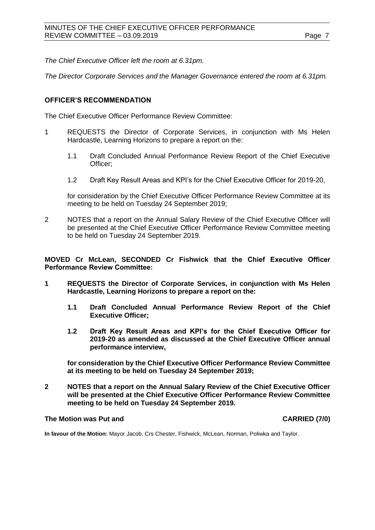*The Chief Executive Officer left the room at 6.31pm.*

*The Director Corporate Services and the Manager Governance entered the room at 6.31pm.*

### **OFFICER'S RECOMMENDATION**

The Chief Executive Officer Performance Review Committee:

- 1 REQUESTS the Director of Corporate Services, in conjunction with Ms Helen Hardcastle, Learning Horizons to prepare a report on the:
	- 1.1 Draft Concluded Annual Performance Review Report of the Chief Executive Officer;
	- 1.2 Draft Key Result Areas and KPI's for the Chief Executive Officer for 2019-20,

for consideration by the Chief Executive Officer Performance Review Committee at its meeting to be held on Tuesday 24 September 2019;

2 NOTES that a report on the Annual Salary Review of the Chief Executive Officer will be presented at the Chief Executive Officer Performance Review Committee meeting to be held on Tuesday 24 September 2019.

**MOVED Cr McLean, SECONDED Cr Fishwick that the Chief Executive Officer Performance Review Committee:**

- **1 REQUESTS the Director of Corporate Services, in conjunction with Ms Helen Hardcastle, Learning Horizons to prepare a report on the:**
	- **1.1 Draft Concluded Annual Performance Review Report of the Chief Executive Officer;**
	- **1.2 Draft Key Result Areas and KPI's for the Chief Executive Officer for 2019-20 as amended as discussed at the Chief Executive Officer annual performance interview,**

**for consideration by the Chief Executive Officer Performance Review Committee at its meeting to be held on Tuesday 24 September 2019;**

**2 NOTES that a report on the Annual Salary Review of the Chief Executive Officer will be presented at the Chief Executive Officer Performance Review Committee meeting to be held on Tuesday 24 September 2019.**

### **The Motion was Put and CARRIED (7/0)**

**In favour of the Motion:** Mayor Jacob, Crs Chester, Fishwick, McLean, Norman, Poliwka and Taylor.